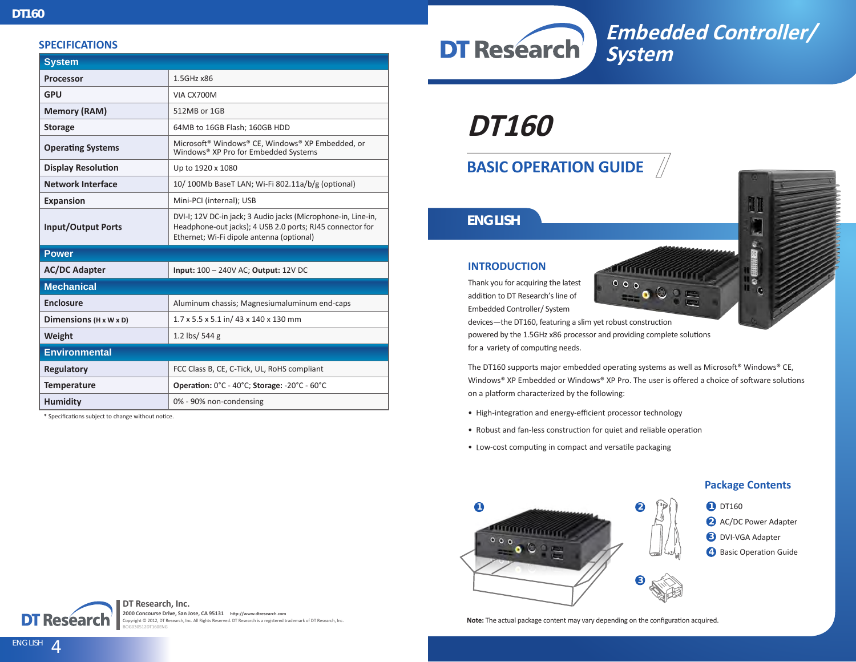#### **SPECIFICATIONS**

| <b>System</b>                      |                                                                                                                                                                         |
|------------------------------------|-------------------------------------------------------------------------------------------------------------------------------------------------------------------------|
| <b>Processor</b>                   | 1.5GHz x86                                                                                                                                                              |
| GPU                                | VIA CX700M                                                                                                                                                              |
| <b>Memory (RAM)</b>                | 512MB or 1GB                                                                                                                                                            |
| <b>Storage</b>                     | 64MB to 16GB Flash; 160GB HDD                                                                                                                                           |
| <b>Operating Systems</b>           | Microsoft® Windows® CE, Windows® XP Embedded, or<br>Windows® XP Pro for Embedded Systems                                                                                |
| <b>Display Resolution</b>          | Up to 1920 x 1080                                                                                                                                                       |
| <b>Network Interface</b>           | 10/100Mb BaseT LAN; Wi-Fi 802.11a/b/g (optional)                                                                                                                        |
| <b>Expansion</b>                   | Mini-PCI (internal); USB                                                                                                                                                |
| <b>Input/Output Ports</b>          | DVI-I; 12V DC-in jack; 3 Audio jacks (Microphone-in, Line-in,<br>Headphone-out jacks); 4 USB 2.0 ports; RJ45 connector for<br>Ethernet; Wi-Fi dipole antenna (optional) |
| <b>Power</b>                       |                                                                                                                                                                         |
| <b>AC/DC Adapter</b>               | Input: 100 - 240V AC; Output: 12V DC                                                                                                                                    |
| <b>Mechanical</b>                  |                                                                                                                                                                         |
| <b>Enclosure</b>                   | Aluminum chassis; Magnesiumaluminum end-caps                                                                                                                            |
| Dimensions $(H \times W \times D)$ | 1.7 x 5.5 x 5.1 in/ 43 x 140 x 130 mm                                                                                                                                   |
| Weight                             | 1.2 lbs/ 544 g                                                                                                                                                          |
| <b>Environmental</b>               |                                                                                                                                                                         |
| <b>Regulatory</b>                  | FCC Class B, CE, C-Tick, UL, RoHS compliant                                                                                                                             |
| <b>Temperature</b>                 | Operation: 0°C - 40°C; Storage: -20°C - 60°C                                                                                                                            |
| <b>Humidity</b>                    | 0% - 90% non-condensing                                                                                                                                                 |

\* Specifications subject to change without notice.

**DT Research** 

# **Embedded Controller/ System**

**DT160**

## **BASIC OPERATION GUIDE**

### *ENGLISH*

#### **INTRODUCTION**

Thank you for acquiring the latest addition to DT Research's line of Embedded Controller/ System

**THE REAL PROPERTY** 

devices—the DT160, featuring a slim yet robust construction

powered by the 1.5GHz x86 processor and providing complete solutions for a variety of computing needs.

The DT160 supports major embedded operating systems as well as Microsoft® Windows® CE, Windows® XP Embedded or Windows® XP Pro. The user is offered a choice of software solutions on a platform characterized by the following:

- High-integration and energy-efficient processor technology
- Robust and fan-less construction for quiet and reliable operation
- Low-cost computing in compact and versatile packaging





**DT Research, Inc. 2000 Concourse Drive, San Jose, CA 95131 http://www.dtresearch.com** Copyright © 2012, DT Research, Inc. All Rights Reserved. DT Research is a registered trademark of DT Research, Inc. BOG030512DT160ENG

**Note:** The actual package content may vary depending on the configuration acquired.

 $ENGLISH$   $\angle$ **signage dtri com**